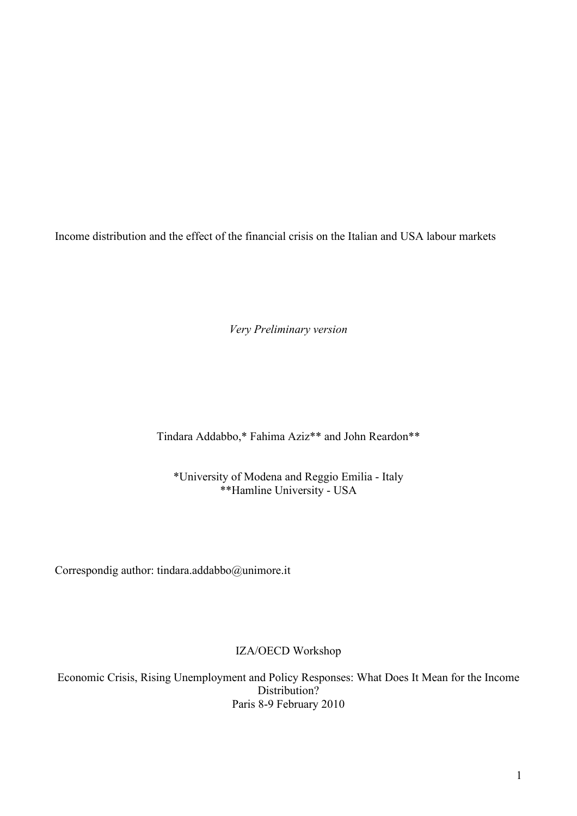Income distribution and the effect of the financial crisis on the Italian and USA labour markets

*Very Preliminary version*

Tindara Addabbo,\* Fahima Aziz\*\* and John Reardon\*\*

\*University of Modena and Reggio Emilia - Italy \*\*Hamline University - USA

Correspondig author: tindara.addabbo@unimore.it

IZA/OECD Workshop

Economic Crisis, Rising Unemployment and Policy Responses: What Does It Mean for the Income Distribution? Paris 8-9 February 2010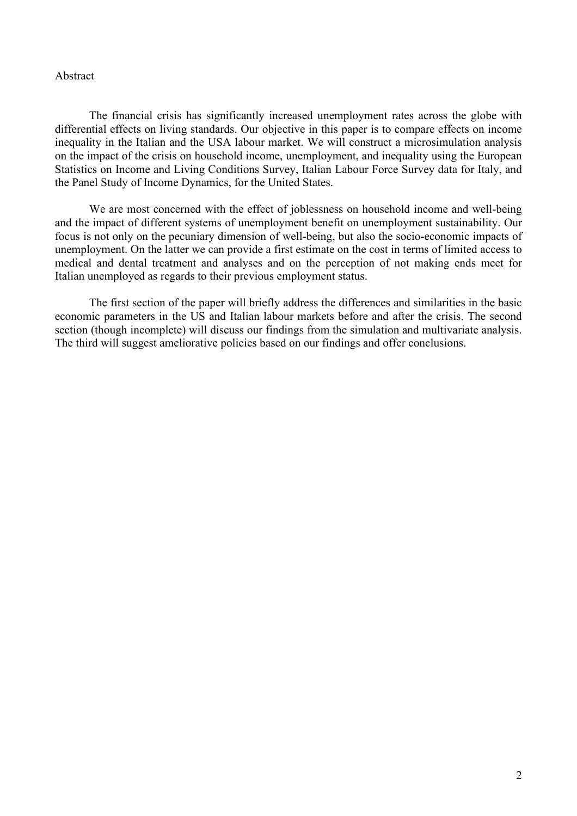## Abstract

The financial crisis has significantly increased unemployment rates across the globe with differential effects on living standards. Our objective in this paper is to compare effects on income inequality in the Italian and the USA labour market. We will construct a microsimulation analysis on the impact of the crisis on household income, unemployment, and inequality using the European Statistics on Income and Living Conditions Survey, Italian Labour Force Survey data for Italy, and the Panel Study of Income Dynamics, for the United States.

We are most concerned with the effect of joblessness on household income and well-being and the impact of different systems of unemployment benefit on unemployment sustainability. Our focus is not only on the pecuniary dimension of well-being, but also the socio-economic impacts of unemployment. On the latter we can provide a first estimate on the cost in terms of limited access to medical and dental treatment and analyses and on the perception of not making ends meet for Italian unemployed as regards to their previous employment status.

The first section of the paper will briefly address the differences and similarities in the basic economic parameters in the US and Italian labour markets before and after the crisis. The second section (though incomplete) will discuss our findings from the simulation and multivariate analysis. The third will suggest ameliorative policies based on our findings and offer conclusions.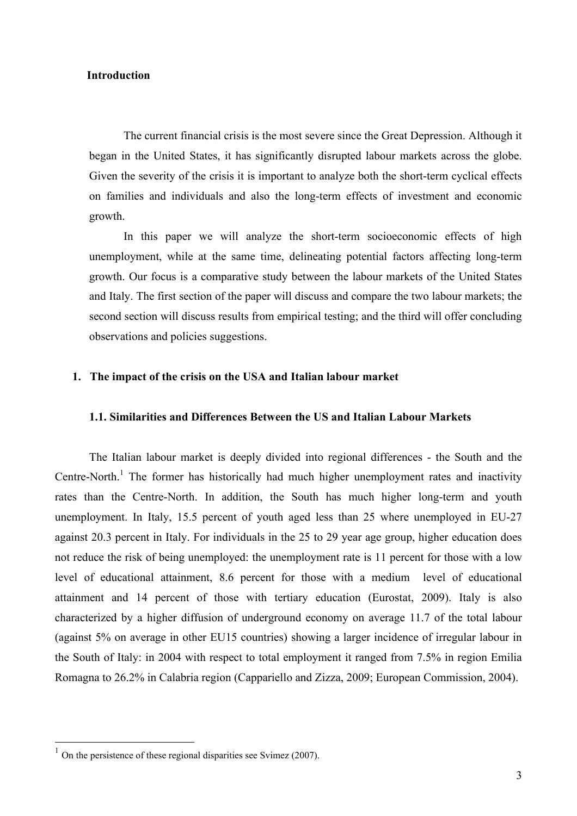## **Introduction**

The current financial crisis is the most severe since the Great Depression. Although it began in the United States, it has significantly disrupted labour markets across the globe. Given the severity of the crisis it is important to analyze both the short-term cyclical effects on families and individuals and also the long-term effects of investment and economic growth.

In this paper we will analyze the short-term socioeconomic effects of high unemployment, while at the same time, delineating potential factors affecting long-term growth. Our focus is a comparative study between the labour markets of the United States and Italy. The first section of the paper will discuss and compare the two labour markets; the second section will discuss results from empirical testing; and the third will offer concluding observations and policies suggestions.

# **1. The impact of the crisis on the USA and Italian labour market**

### **1.1. Similarities and Differences Between the US and Italian Labour Markets**

The Italian labour market is deeply divided into regional differences - the South and the Centre-North.<sup>1</sup> The former has historically had much higher unemployment rates and inactivity rates than the Centre-North. In addition, the South has much higher long-term and youth unemployment. In Italy, 15.5 percent of youth aged less than 25 where unemployed in EU-27 against 20.3 percent in Italy. For individuals in the 25 to 29 year age group, higher education does not reduce the risk of being unemployed: the unemployment rate is 11 percent for those with a low level of educational attainment, 8.6 percent for those with a medium level of educational attainment and 14 percent of those with tertiary education (Eurostat, 2009). Italy is also characterized by a higher diffusion of underground economy on average 11.7 of the total labour (against 5% on average in other EU15 countries) showing a larger incidence of irregular labour in the South of Italy: in 2004 with respect to total employment it ranged from 7.5% in region Emilia Romagna to 26.2% in Calabria region (Cappariello and Zizza, 2009; European Commission, 2004).

 $1$  On the persistence of these regional disparities see Svimez (2007).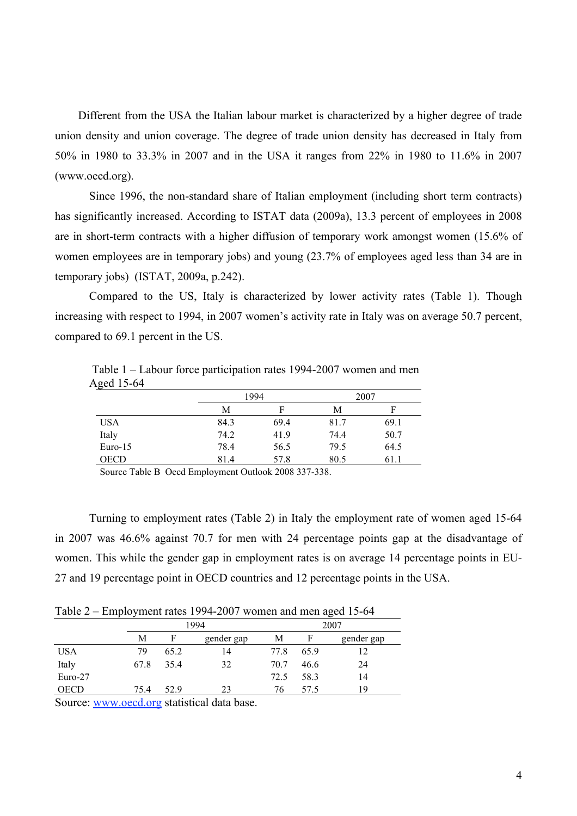Different from the USA the Italian labour market is characterized by a higher degree of trade union density and union coverage. The degree of trade union density has decreased in Italy from 50% in 1980 to 33.3% in 2007 and in the USA it ranges from 22% in 1980 to 11.6% in 2007 (www.oecd.org).

Since 1996, the non-standard share of Italian employment (including short term contracts) has significantly increased. According to ISTAT data (2009a), 13.3 percent of employees in 2008 are in short-term contracts with a higher diffusion of temporary work amongst women (15.6% of women employees are in temporary jobs) and young (23.7% of employees aged less than 34 are in temporary jobs) (ISTAT, 2009a, p.242).

Compared to the US, Italy is characterized by lower activity rates (Table 1). Though increasing with respect to 1994, in 2007 women's activity rate in Italy was on average 50.7 percent, compared to 69.1 percent in the US.

| Aged 15-64  |      |      |      |      |
|-------------|------|------|------|------|
|             |      | 1994 |      | 2007 |
|             | М    | F    | М    | F    |
| <b>USA</b>  | 84.3 | 69.4 | 81.7 | 69.1 |
| Italy       | 74.2 | 41.9 | 74.4 | 50.7 |
| $Euro-15$   | 78.4 | 56.5 | 79.5 | 64.5 |
| <b>OECD</b> | 81.4 | 57.8 | 80.5 | 61.1 |

Table 1 – Labour force participation rates 1994-2007 women and men

Source Table B Oecd Employment Outlook 2008 337-338.

Turning to employment rates (Table 2) in Italy the employment rate of women aged 15-64 in 2007 was 46.6% against 70.7 for men with 24 percentage points gap at the disadvantage of women. This while the gender gap in employment rates is on average 14 percentage points in EU-27 and 19 percentage point in OECD countries and 12 percentage points in the USA.

Table 2 – Employment rates 1994-2007 women and men aged 15-64

|             | 1994 |      |            | 2007 |      |            |
|-------------|------|------|------------|------|------|------------|
|             | М    | F    | gender gap | М    | F    | gender gap |
| <b>USA</b>  | 79   | 65.2 | 14         | 77.8 | 65.9 |            |
| Italy       | 67.8 | 35.4 | 32         | 70.7 | 46.6 | 24         |
| Euro-27     |      |      |            | 72.5 | 58.3 | 14         |
| <b>OECD</b> | 75.4 | 52.9 | 23         | 76   | 57.5 | 19         |

Source: www.oecd.org statistical data base.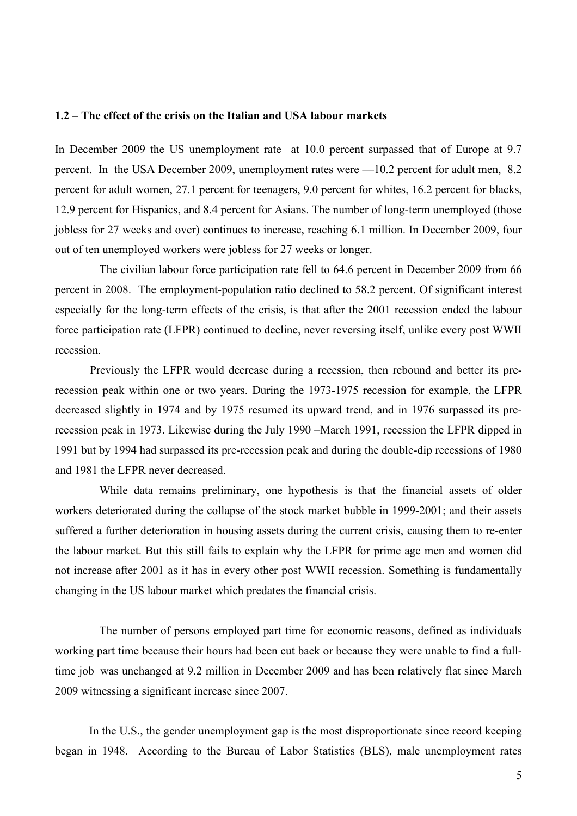## **1.2 – The effect of the crisis on the Italian and USA labour markets**

In December 2009 the US unemployment rate at 10.0 percent surpassed that of Europe at 9.7 percent. In the USA December 2009, unemployment rates were —10.2 percent for adult men, 8.2 percent for adult women, 27.1 percent for teenagers, 9.0 percent for whites, 16.2 percent for blacks, 12.9 percent for Hispanics, and 8.4 percent for Asians. The number of long-term unemployed (those jobless for 27 weeks and over) continues to increase, reaching 6.1 million. In December 2009, four out of ten unemployed workers were jobless for 27 weeks or longer.

The civilian labour force participation rate fell to 64.6 percent in December 2009 from 66 percent in 2008. The employment-population ratio declined to 58.2 percent. Of significant interest especially for the long-term effects of the crisis, is that after the 2001 recession ended the labour force participation rate (LFPR) continued to decline, never reversing itself, unlike every post WWII recession.

Previously the LFPR would decrease during a recession, then rebound and better its prerecession peak within one or two years. During the 1973-1975 recession for example, the LFPR decreased slightly in 1974 and by 1975 resumed its upward trend, and in 1976 surpassed its prerecession peak in 1973. Likewise during the July 1990 –March 1991, recession the LFPR dipped in 1991 but by 1994 had surpassed its pre-recession peak and during the double-dip recessions of 1980 and 1981 the LFPR never decreased.

While data remains preliminary, one hypothesis is that the financial assets of older workers deteriorated during the collapse of the stock market bubble in 1999-2001; and their assets suffered a further deterioration in housing assets during the current crisis, causing them to re-enter the labour market. But this still fails to explain why the LFPR for prime age men and women did not increase after 2001 as it has in every other post WWII recession. Something is fundamentally changing in the US labour market which predates the financial crisis.

The number of persons employed part time for economic reasons, defined as individuals working part time because their hours had been cut back or because they were unable to find a fulltime job was unchanged at 9.2 million in December 2009 and has been relatively flat since March 2009 witnessing a significant increase since 2007.

In the U.S., the gender unemployment gap is the most disproportionate since record keeping began in 1948. According to the Bureau of Labor Statistics (BLS), male unemployment rates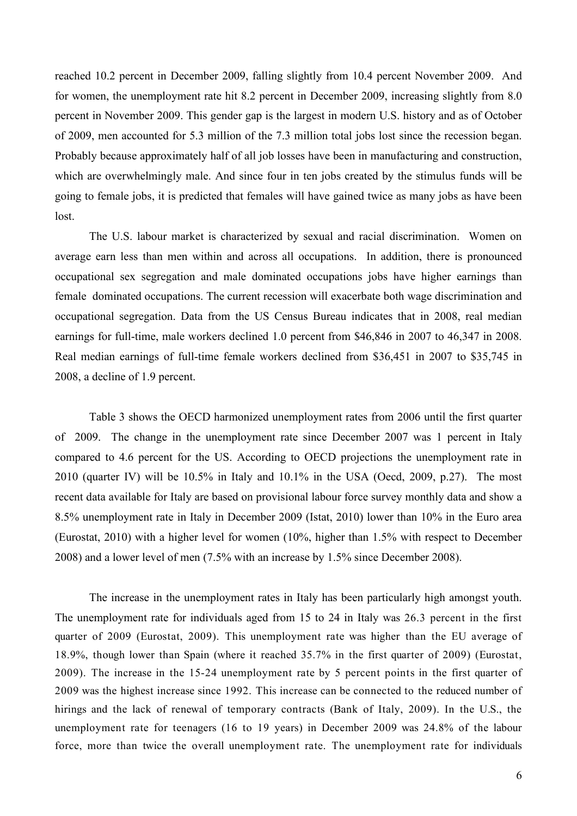reached 10.2 percent in December 2009, falling slightly from 10.4 percent November 2009. And for women, the unemployment rate hit 8.2 percent in December 2009, increasing slightly from 8.0 percent in November 2009. This gender gap is the largest in modern U.S. history and as of October of 2009, men accounted for 5.3 million of the 7.3 million total jobs lost since the recession began. Probably because approximately half of all job losses have been in manufacturing and construction, which are overwhelmingly male. And since four in ten jobs created by the stimulus funds will be going to female jobs, it is predicted that females will have gained twice as many jobs as have been lost.

The U.S. labour market is characterized by sexual and racial discrimination. Women on average earn less than men within and across all occupations. In addition, there is pronounced occupational sex segregation and male dominated occupations jobs have higher earnings than female dominated occupations. The current recession will exacerbate both wage discrimination and occupational segregation. Data from the US Census Bureau indicates that in 2008, real median earnings for full-time, male workers declined 1.0 percent from \$46,846 in 2007 to 46,347 in 2008. Real median earnings of full-time female workers declined from \$36,451 in 2007 to \$35,745 in 2008, a decline of 1.9 percent.

Table 3 shows the OECD harmonized unemployment rates from 2006 until the first quarter of 2009. The change in the unemployment rate since December 2007 was 1 percent in Italy compared to 4.6 percent for the US. According to OECD projections the unemployment rate in 2010 (quarter IV) will be 10.5% in Italy and 10.1% in the USA (Oecd, 2009, p.27). The most recent data available for Italy are based on provisional labour force survey monthly data and show a 8.5% unemployment rate in Italy in December 2009 (Istat, 2010) lower than 10% in the Euro area (Eurostat, 2010) with a higher level for women (10%, higher than 1.5% with respect to December 2008) and a lower level of men (7.5% with an increase by 1.5% since December 2008).

The increase in the unemployment rates in Italy has been particularly high amongst youth. The unemployment rate for individuals aged from 15 to 24 in Italy was 26.3 percent in the first quarter of 2009 (Eurostat, 2009). This unemployment rate was higher than the EU average of 18.9%, though lower than Spain (where it reached 35.7% in the first quarter of 2009) (Eurostat, 2009). The increase in the 15-24 unemployment rate by 5 percent points in the first quarter of 2009 was the highest increase since 1992. This increase can be connected to the reduced number of hirings and the lack of renewal of temporary contracts (Bank of Italy, 2009). In the U.S., the unemployment rate for teenagers (16 to 19 years) in December 2009 was 24.8% of the labour force, more than twice the overall unemployment rate. The unemployment rate for individuals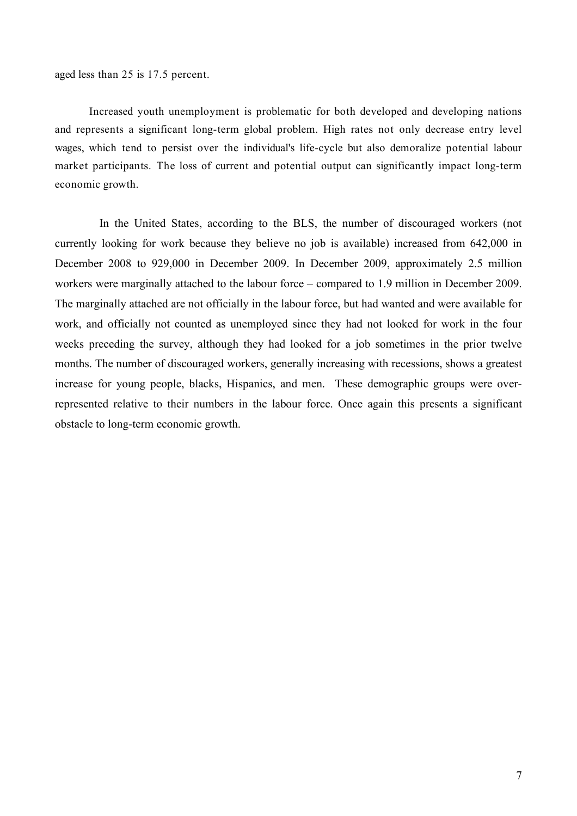aged less than 25 is 17.5 percent.

Increased youth unemployment is problematic for both developed and developing nations and represents a significant long-term global problem. High rates not only decrease entry level wages, which tend to persist over the individual's life-cycle but also demoralize potential labour market participants. The loss of current and potential output can significantly impact long-term economic growth.

In the United States, according to the BLS, the number of discouraged workers (not currently looking for work because they believe no job is available) increased from 642,000 in December 2008 to 929,000 in December 2009. In December 2009, approximately 2.5 million workers were marginally attached to the labour force – compared to 1.9 million in December 2009. The marginally attached are not officially in the labour force, but had wanted and were available for work, and officially not counted as unemployed since they had not looked for work in the four weeks preceding the survey, although they had looked for a job sometimes in the prior twelve months. The number of discouraged workers, generally increasing with recessions, shows a greatest increase for young people, blacks, Hispanics, and men. These demographic groups were overrepresented relative to their numbers in the labour force. Once again this presents a significant obstacle to long-term economic growth.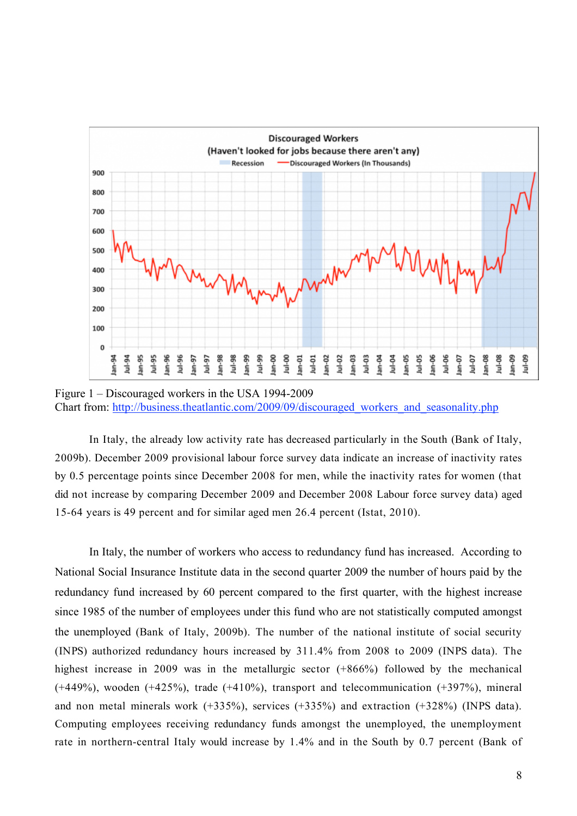

Figure 1 – Discouraged workers in the USA 1994-2009 Chart from: http://business.theatlantic.com/2009/09/discouraged\_workers\_and\_seasonality.php

In Italy, the already low activity rate has decreased particularly in the South (Bank of Italy, 2009b). December 2009 provisional labour force survey data indicate an increase of inactivity rates by 0.5 percentage points since December 2008 for men, while the inactivity rates for women (that did not increase by comparing December 2009 and December 2008 Labour force survey data) aged 15-64 years is 49 percent and for similar aged men 26.4 percent (Istat, 2010).

In Italy, the number of workers who access to redundancy fund has increased. According to National Social Insurance Institute data in the second quarter 2009 the number of hours paid by the redundancy fund increased by 60 percent compared to the first quarter, with the highest increase since 1985 of the number of employees under this fund who are not statistically computed amongst the unemployed (Bank of Italy, 2009b). The number of the national institute of social security (INPS) authorized redundancy hours increased by 311.4% from 2008 to 2009 (INPS data). The highest increase in 2009 was in the metallurgic sector (+866%) followed by the mechanical (+449%), wooden (+425%), trade (+410%), transport and telecommunication (+397%), mineral and non metal minerals work  $(+335%)$ , services  $(+335%)$  and extraction  $(+328%)$  (INPS data). Computing employees receiving redundancy funds amongst the unemployed, the unemployment rate in northern-central Italy would increase by 1.4% and in the South by 0.7 percent (Bank of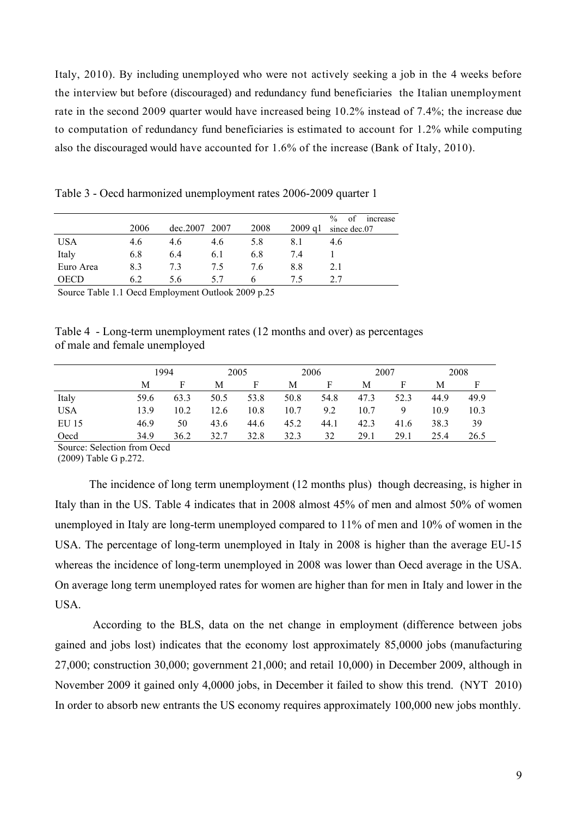Italy, 2010). By including unemployed who were not actively seeking a job in the 4 weeks before the interview but before (discouraged) and redundancy fund beneficiaries the Italian unemployment rate in the second 2009 quarter would have increased being 10.2% instead of 7.4%; the increase due to computation of redundancy fund beneficiaries is estimated to account for 1.2% while computing also the discouraged would have accounted for 1.6% of the increase (Bank of Italy, 2010).

Table 3 - Oecd harmonized unemployment rates 2006-2009 quarter 1

|             |      |                 |     |      |           | of<br>$\%$<br>increase |
|-------------|------|-----------------|-----|------|-----------|------------------------|
|             | 2006 | $dec.2007$ 2007 |     | 2008 | $2009$ q1 | since dec.07           |
| <b>USA</b>  | 4.6  | 4.6             | 4.6 | 5.8  | 8.1       | 4.6                    |
| Italy       | 6.8  | 6.4             | 6.1 | 6.8  | 7.4       |                        |
| Euro Area   | 8.3  | 7.3             | 7.5 | 7.6  | 8.8       | 2.1                    |
| <b>OECD</b> | 6.2  | 5.6             | 57  | h    | 75        | 2.7                    |

Source Table 1.1 Oecd Employment Outlook 2009 p.25

Table 4 - Long-term unemployment rates (12 months and over) as percentages of male and female unemployed

|            |      | 1994 |      | 2005 |      | 2006 |      | 2007 |      | 2008 |
|------------|------|------|------|------|------|------|------|------|------|------|
|            | М    | F    | M    | F    | М    | F    | М    |      | М    | F    |
| Italy      | 59.6 | 63.3 | 50.5 | 53.8 | 50.8 | 54.8 | 47.3 | 52.3 | 44.9 | 49.9 |
| <b>USA</b> | 13.9 | 10.2 | 12.6 | 10.8 | 10.7 | 9.2  | 10.7 | Q    | 10.9 | 10.3 |
| EU 15      | 46.9 | 50   | 43.6 | 44.6 | 45.2 | 44.1 | 42.3 | 41.6 | 38.3 | 39   |
| Oecd       | 34.9 | 36.2 | 32.7 | 32.8 | 32.3 | 32   | 29.1 | 29.1 | 25.4 | 26.5 |

Source: Selection from Oecd

(2009) Table G p.272.

The incidence of long term unemployment (12 months plus) though decreasing, is higher in Italy than in the US. Table 4 indicates that in 2008 almost 45% of men and almost 50% of women unemployed in Italy are long-term unemployed compared to 11% of men and 10% of women in the USA. The percentage of long-term unemployed in Italy in 2008 is higher than the average EU-15 whereas the incidence of long-term unemployed in 2008 was lower than Oecd average in the USA. On average long term unemployed rates for women are higher than for men in Italy and lower in the USA.

According to the BLS, data on the net change in employment (difference between jobs gained and jobs lost) indicates that the economy lost approximately 85,0000 jobs (manufacturing 27,000; construction 30,000; government 21,000; and retail 10,000) in December 2009, although in November 2009 it gained only 4,0000 jobs, in December it failed to show this trend. (NYT 2010) In order to absorb new entrants the US economy requires approximately 100,000 new jobs monthly.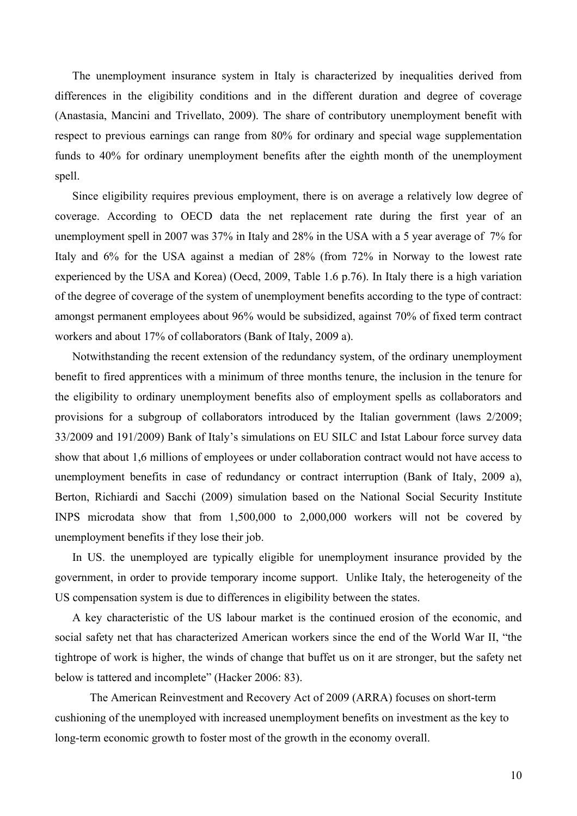The unemployment insurance system in Italy is characterized by inequalities derived from differences in the eligibility conditions and in the different duration and degree of coverage (Anastasia, Mancini and Trivellato, 2009). The share of contributory unemployment benefit with respect to previous earnings can range from 80% for ordinary and special wage supplementation funds to 40% for ordinary unemployment benefits after the eighth month of the unemployment spell.

Since eligibility requires previous employment, there is on average a relatively low degree of coverage. According to OECD data the net replacement rate during the first year of an unemployment spell in 2007 was 37% in Italy and 28% in the USA with a 5 year average of 7% for Italy and 6% for the USA against a median of 28% (from 72% in Norway to the lowest rate experienced by the USA and Korea) (Oecd, 2009, Table 1.6 p.76). In Italy there is a high variation of the degree of coverage of the system of unemployment benefits according to the type of contract: amongst permanent employees about 96% would be subsidized, against 70% of fixed term contract workers and about 17% of collaborators (Bank of Italy, 2009 a).

Notwithstanding the recent extension of the redundancy system, of the ordinary unemployment benefit to fired apprentices with a minimum of three months tenure, the inclusion in the tenure for the eligibility to ordinary unemployment benefits also of employment spells as collaborators and provisions for a subgroup of collaborators introduced by the Italian government (laws 2/2009; 33/2009 and 191/2009) Bank of Italy's simulations on EU SILC and Istat Labour force survey data show that about 1,6 millions of employees or under collaboration contract would not have access to unemployment benefits in case of redundancy or contract interruption (Bank of Italy, 2009 a), Berton, Richiardi and Sacchi (2009) simulation based on the National Social Security Institute INPS microdata show that from 1,500,000 to 2,000,000 workers will not be covered by unemployment benefits if they lose their job.

In US, the unemployed are typically eligible for unemployment insurance provided by the government, in order to provide temporary income support. Unlike Italy, the heterogeneity of the US compensation system is due to differences in eligibility between the states.

A key characteristic of the US labour market is the continued erosion of the economic, and social safety net that has characterized American workers since the end of the World War II, "the tightrope of work is higher, the winds of change that buffet us on it are stronger, but the safety net below is tattered and incomplete" (Hacker 2006: 83).

The American Reinvestment and Recovery Act of 2009 (ARRA) focuses on short-term cushioning of the unemployed with increased unemployment benefits on investment as the key to long-term economic growth to foster most of the growth in the economy overall.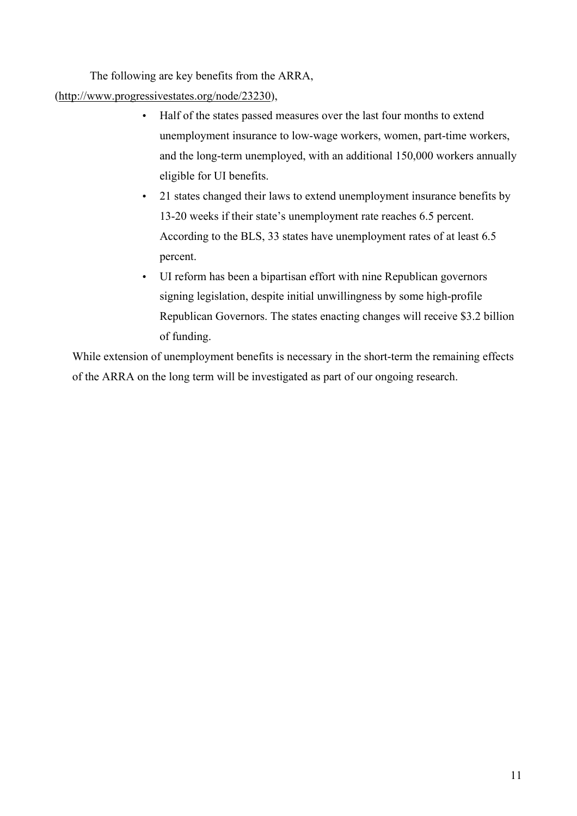The following are key benefits from the ARRA,

(http://www.progressivestates.org/node/23230),

- Half of the states passed measures over the last four months to extend unemployment insurance to low-wage workers, women, part-time workers, and the long-term unemployed, with an additional 150,000 workers annually eligible for UI benefits.
- 21 states changed their laws to extend unemployment insurance benefits by 13-20 weeks if their state's unemployment rate reaches 6.5 percent. According to the BLS, 33 states have unemployment rates of at least 6.5 percent.
- UI reform has been a bipartisan effort with nine Republican governors signing legislation, despite initial unwillingness by some high-profile Republican Governors. The states enacting changes will receive \$3.2 billion of funding.

While extension of unemployment benefits is necessary in the short-term the remaining effects of the ARRA on the long term will be investigated as part of our ongoing research.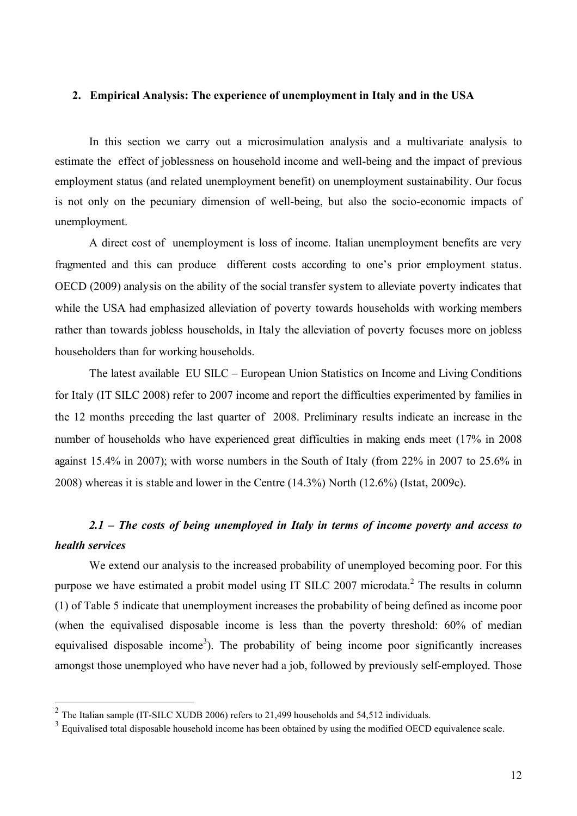# **2. Empirical Analysis: The experience of unemployment in Italy and in the USA**

In this section we carry out a microsimulation analysis and a multivariate analysis to estimate the effect of joblessness on household income and well-being and the impact of previous employment status (and related unemployment benefit) on unemployment sustainability. Our focus is not only on the pecuniary dimension of well-being, but also the socio-economic impacts of unemployment.

A direct cost of unemployment is loss of income. Italian unemployment benefits are very fragmented and this can produce different costs according to one's prior employment status. OECD (2009) analysis on the ability of the social transfer system to alleviate poverty indicates that while the USA had emphasized alleviation of poverty towards households with working members rather than towards jobless households, in Italy the alleviation of poverty focuses more on jobless householders than for working households.

The latest available EU SILC – European Union Statistics on Income and Living Conditions for Italy (IT SILC 2008) refer to 2007 income and report the difficulties experimented by families in the 12 months preceding the last quarter of 2008. Preliminary results indicate an increase in the number of households who have experienced great difficulties in making ends meet (17% in 2008 against 15.4% in 2007); with worse numbers in the South of Italy (from 22% in 2007 to 25.6% in 2008) whereas it is stable and lower in the Centre (14.3%) North (12.6%) (Istat, 2009c).

# *2.1 – The costs of being unemployed in Italy in terms of income poverty and access to health services*

We extend our analysis to the increased probability of unemployed becoming poor. For this purpose we have estimated a probit model using IT SILC 2007 microdata.<sup>2</sup> The results in column (1) of Table 5 indicate that unemployment increases the probability of being defined as income poor (when the equivalised disposable income is less than the poverty threshold: 60% of median equivalised disposable income<sup>3</sup>). The probability of being income poor significantly increases amongst those unemployed who have never had a job, followed by previously self-employed. Those

<sup>&</sup>lt;sup>2</sup> The Italian sample (IT-SILC XUDB 2006) refers to 21,499 households and 54,512 individuals.<br><sup>3</sup> Equivalised total disposable household income has been obtained by using the modified OECD equivalence scale.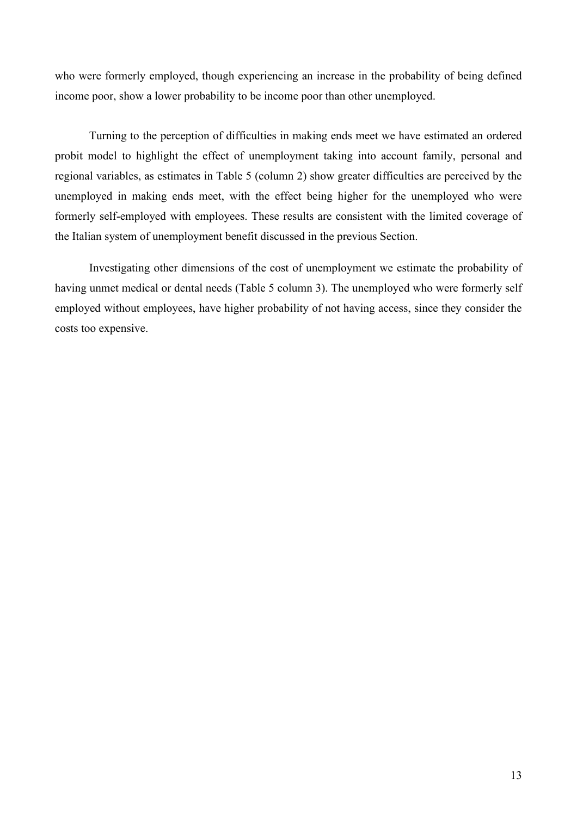who were formerly employed, though experiencing an increase in the probability of being defined income poor, show a lower probability to be income poor than other unemployed.

Turning to the perception of difficulties in making ends meet we have estimated an ordered probit model to highlight the effect of unemployment taking into account family, personal and regional variables, as estimates in Table 5 (column 2) show greater difficulties are perceived by the unemployed in making ends meet, with the effect being higher for the unemployed who were formerly self-employed with employees. These results are consistent with the limited coverage of the Italian system of unemployment benefit discussed in the previous Section.

Investigating other dimensions of the cost of unemployment we estimate the probability of having unmet medical or dental needs (Table 5 column 3). The unemployed who were formerly self employed without employees, have higher probability of not having access, since they consider the costs too expensive.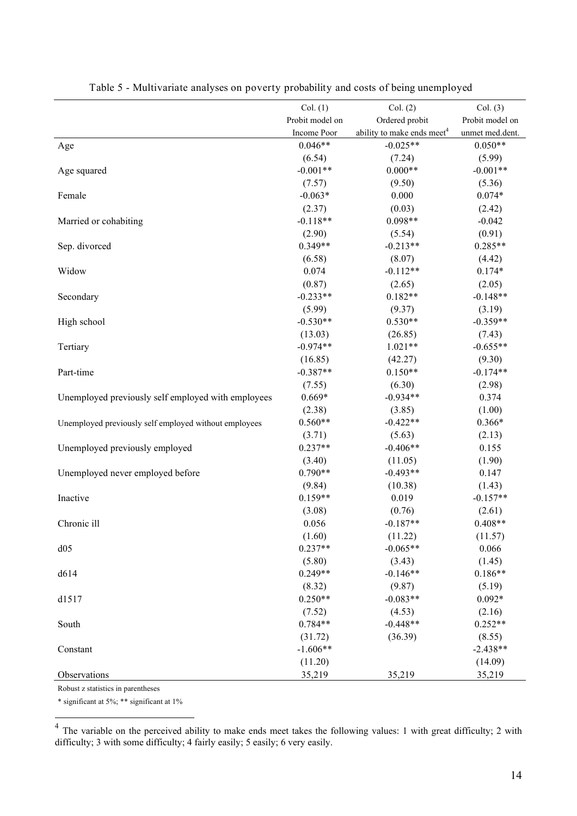|                                                       | Col. (1)                 | Col. (2)                                                 | Col. (3)                     |
|-------------------------------------------------------|--------------------------|----------------------------------------------------------|------------------------------|
|                                                       | Probit model on          | Ordered probit<br>ability to make ends meet <sup>4</sup> | Probit model on              |
|                                                       | Income Poor<br>$0.046**$ | $-0.025**$                                               | unmet med.dent.<br>$0.050**$ |
| Age                                                   | (6.54)                   | (7.24)                                                   | (5.99)                       |
|                                                       | $-0.001**$               | $0.000**$                                                | $-0.001**$                   |
| Age squared                                           | (7.57)                   | (9.50)                                                   | (5.36)                       |
| Female                                                | $-0.063*$                | 0.000                                                    | $0.074*$                     |
|                                                       | (2.37)                   | (0.03)                                                   | (2.42)                       |
| Married or cohabiting                                 | $-0.118**$               | $0.098**$                                                | $-0.042$                     |
|                                                       | (2.90)                   | (5.54)                                                   | (0.91)                       |
| Sep. divorced                                         | $0.349**$                | $-0.213**$                                               | $0.285**$                    |
|                                                       |                          | (8.07)                                                   |                              |
| Widow                                                 | (6.58)<br>0.074          | $-0.112**$                                               | (4.42)<br>$0.174*$           |
|                                                       |                          |                                                          |                              |
|                                                       | (0.87)<br>$-0.233**$     | (2.65)<br>$0.182**$                                      | (2.05)<br>$-0.148**$         |
| Secondary                                             | (5.99)                   | (9.37)                                                   |                              |
|                                                       | $-0.530**$               | $0.530**$                                                | (3.19)<br>$-0.359**$         |
| High school                                           | (13.03)                  |                                                          |                              |
| Tertiary                                              | $-0.974**$               | (26.85)<br>$1.021**$                                     | (7.43)<br>$-0.655**$         |
|                                                       |                          |                                                          |                              |
|                                                       | (16.85)<br>$-0.387**$    | (42.27)<br>$0.150**$                                     | (9.30)<br>$-0.174**$         |
| Part-time                                             |                          |                                                          |                              |
| Unemployed previously self employed with employees    | (7.55)<br>$0.669*$       | (6.30)<br>$-0.934**$                                     | (2.98)<br>0.374              |
|                                                       |                          |                                                          |                              |
|                                                       | (2.38)<br>$0.560**$      | (3.85)<br>$-0.422**$                                     | (1.00)<br>$0.366*$           |
| Unemployed previously self employed without employees |                          | (5.63)                                                   | (2.13)                       |
|                                                       | (3.71)<br>$0.237**$      | $-0.406**$                                               | 0.155                        |
| Unemployed previously employed                        | (3.40)                   | (11.05)                                                  | (1.90)                       |
| Unemployed never employed before                      | $0.790**$                | $-0.493**$                                               | 0.147                        |
|                                                       | (9.84)                   | (10.38)                                                  | (1.43)                       |
| Inactive                                              | $0.159**$                | 0.019                                                    | $-0.157**$                   |
|                                                       | (3.08)                   | (0.76)                                                   | (2.61)                       |
| Chronic ill                                           | 0.056                    | $-0.187**$                                               | $0.408**$                    |
|                                                       | (1.60)                   | (11.22)                                                  | (11.57)                      |
| d05                                                   | $0.237**$                | $-0.065**$                                               | 0.066                        |
|                                                       | (5.80)                   | (3.43)                                                   | (1.45)                       |
| d614                                                  | $0.249**$                | $-0.146**$                                               | $0.186**$                    |
|                                                       | (8.32)                   | (9.87)                                                   | (5.19)                       |
| d1517                                                 | $0.250**$                | $-0.083**$                                               | $0.092*$                     |
|                                                       | (7.52)                   | (4.53)                                                   | (2.16)                       |
| South                                                 | $0.784**$                | $-0.448**$                                               | $0.252**$                    |
|                                                       | (31.72)                  | (36.39)                                                  | (8.55)                       |
| Constant                                              | $-1.606**$               |                                                          | $-2.438**$                   |
|                                                       | (11.20)                  |                                                          | (14.09)                      |
| Observations                                          | 35,219                   | 35,219                                                   | 35,219                       |
|                                                       |                          |                                                          |                              |

| Table 5 - Multivariate analyses on poverty probability and costs of being unemployed |
|--------------------------------------------------------------------------------------|
|--------------------------------------------------------------------------------------|

Robust z statistics in parentheses

\* significant at 5%; \*\* significant at 1%

 $\frac{4}{10}$  The variable on the perceived ability to make ends meet takes the following values: 1 with great difficulty; 2 with difficulty; 3 with some difficulty; 4 fairly easily; 5 easily; 6 very easily.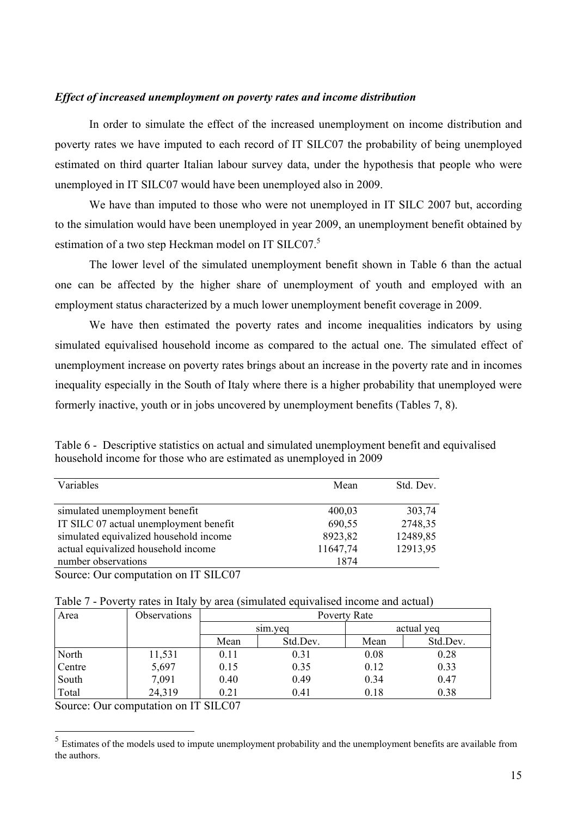## *Effect of increased unemployment on poverty rates and income distribution*

In order to simulate the effect of the increased unemployment on income distribution and poverty rates we have imputed to each record of IT SILC07 the probability of being unemployed estimated on third quarter Italian labour survey data, under the hypothesis that people who were unemployed in IT SILC07 would have been unemployed also in 2009.

We have than imputed to those who were not unemployed in IT SILC 2007 but, according to the simulation would have been unemployed in year 2009, an unemployment benefit obtained by estimation of a two step Heckman model on IT SILC07.<sup>5</sup>

The lower level of the simulated unemployment benefit shown in Table 6 than the actual one can be affected by the higher share of unemployment of youth and employed with an employment status characterized by a much lower unemployment benefit coverage in 2009.

We have then estimated the poverty rates and income inequalities indicators by using simulated equivalised household income as compared to the actual one. The simulated effect of unemployment increase on poverty rates brings about an increase in the poverty rate and in incomes inequality especially in the South of Italy where there is a higher probability that unemployed were formerly inactive, youth or in jobs uncovered by unemployment benefits (Tables 7, 8).

| Table 6 - Descriptive statistics on actual and simulated unemployment benefit and equivalised |  |  |  |
|-----------------------------------------------------------------------------------------------|--|--|--|
| household income for those who are estimated as unemployed in 2009                            |  |  |  |

| Variables                              | Mean     | Std. Dev. |
|----------------------------------------|----------|-----------|
| simulated unemployment benefit         | 400,03   | 303,74    |
| IT SILC 07 actual unemployment benefit | 690,55   | 2748,35   |
| simulated equivalized household income | 8923,82  | 12489,85  |
| actual equivalized household income    | 11647,74 | 12913,95  |
| number observations                    | 1874     |           |
| Source: Our computation on IT SILC07   |          |           |

|  | Table 7 - Poverty rates in Italy by area (simulated equivalised income and actual) |  |
|--|------------------------------------------------------------------------------------|--|

| Area   | <b>Observations</b> |         | Poverty Rate |            |          |  |  |
|--------|---------------------|---------|--------------|------------|----------|--|--|
|        |                     | sim.yeg |              | actual yeg |          |  |  |
|        |                     | Mean    | Std.Dev.     | Mean       | Std.Dev. |  |  |
| North  | 11,531              | 0.11    | 0.31         | 0.08       | 0.28     |  |  |
| Centre | 5,697               | 0.15    | 0.35         | 0.12       | 0.33     |  |  |
| South  | 7,091               | 0.40    | 0.49         | 0.34       | 0.47     |  |  |
| Total  | 24,319              | 0.21    | 0.41         | 0.18       | 0.38     |  |  |

Source: Our computation on IT SILC07

<sup>&</sup>lt;sup>5</sup> Estimates of the models used to impute unemployment probability and the unemployment benefits are available from the authors.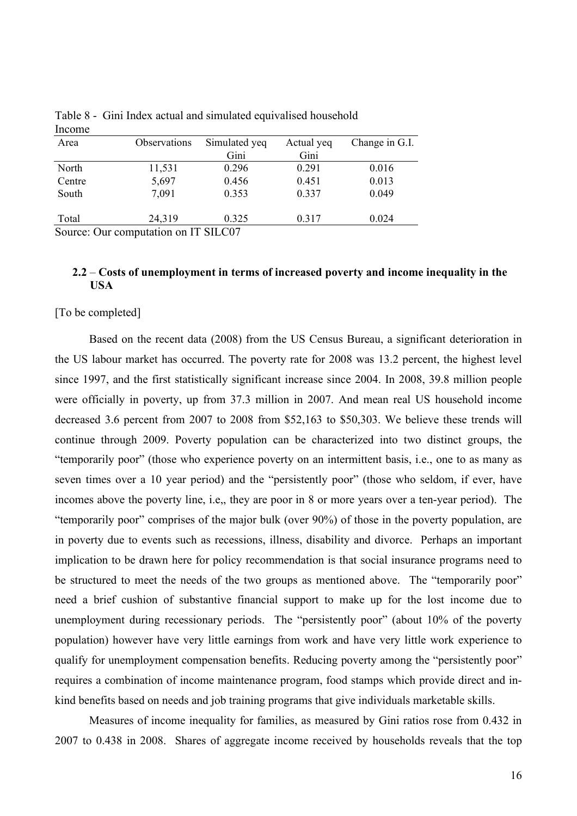| <b>HILOHIIU</b> |              |               |            |                |
|-----------------|--------------|---------------|------------|----------------|
| Area            | Observations | Simulated yeq | Actual yeq | Change in G.I. |
|                 |              | Gini          | Gini       |                |
| North           | 11,531       | 0.296         | 0.291      | 0.016          |
| Centre          | 5,697        | 0.456         | 0.451      | 0.013          |
| South           | 7,091        | 0.353         | 0.337      | 0.049          |
|                 |              |               |            |                |
| Total           | 24,319       | 0.325         | 0.317      | 0.024          |

Table 8 - Gini Index actual and simulated equivalised household  $I<sub>n</sub>$ 

Source: Our computation on IT SILC07

# **2.2** – **Costs of unemployment in terms of increased poverty and income inequality in the USA**

[To be completed]

Based on the recent data (2008) from the US Census Bureau, a significant deterioration in the US labour market has occurred. The poverty rate for 2008 was 13.2 percent, the highest level since 1997, and the first statistically significant increase since 2004. In 2008, 39.8 million people were officially in poverty, up from 37.3 million in 2007. And mean real US household income decreased 3.6 percent from 2007 to 2008 from \$52,163 to \$50,303. We believe these trends will continue through 2009. Poverty population can be characterized into two distinct groups, the "temporarily poor" (those who experience poverty on an intermittent basis, i.e., one to as many as seven times over a 10 year period) and the "persistently poor" (those who seldom, if ever, have incomes above the poverty line, i.e,, they are poor in 8 or more years over a ten-year period). The "temporarily poor" comprises of the major bulk (over 90%) of those in the poverty population, are in poverty due to events such as recessions, illness, disability and divorce. Perhaps an important implication to be drawn here for policy recommendation is that social insurance programs need to be structured to meet the needs of the two groups as mentioned above. The "temporarily poor" need a brief cushion of substantive financial support to make up for the lost income due to unemployment during recessionary periods. The "persistently poor" (about 10% of the poverty population) however have very little earnings from work and have very little work experience to qualify for unemployment compensation benefits. Reducing poverty among the "persistently poor" requires a combination of income maintenance program, food stamps which provide direct and inkind benefits based on needs and job training programs that give individuals marketable skills.

Measures of income inequality for families, as measured by Gini ratios rose from 0.432 in 2007 to 0.438 in 2008. Shares of aggregate income received by households reveals that the top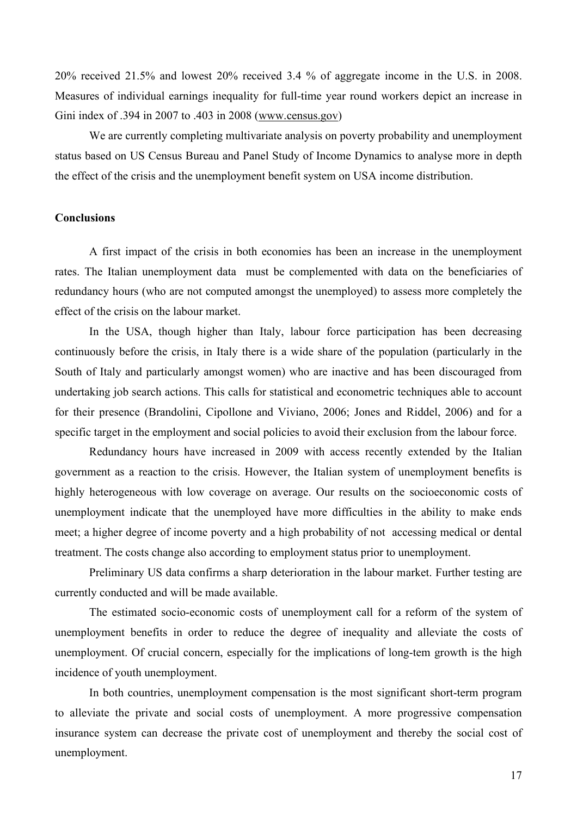20% received 21.5% and lowest 20% received 3.4 % of aggregate income in the U.S. in 2008. Measures of individual earnings inequality for full-time year round workers depict an increase in Gini index of .394 in 2007 to .403 in 2008 (www.census.gov)

We are currently completing multivariate analysis on poverty probability and unemployment status based on US Census Bureau and Panel Study of Income Dynamics to analyse more in depth the effect of the crisis and the unemployment benefit system on USA income distribution.

# **Conclusions**

A first impact of the crisis in both economies has been an increase in the unemployment rates. The Italian unemployment data must be complemented with data on the beneficiaries of redundancy hours (who are not computed amongst the unemployed) to assess more completely the effect of the crisis on the labour market.

In the USA, though higher than Italy, labour force participation has been decreasing continuously before the crisis, in Italy there is a wide share of the population (particularly in the South of Italy and particularly amongst women) who are inactive and has been discouraged from undertaking job search actions. This calls for statistical and econometric techniques able to account for their presence (Brandolini, Cipollone and Viviano, 2006; Jones and Riddel, 2006) and for a specific target in the employment and social policies to avoid their exclusion from the labour force.

Redundancy hours have increased in 2009 with access recently extended by the Italian government as a reaction to the crisis. However, the Italian system of unemployment benefits is highly heterogeneous with low coverage on average. Our results on the socioeconomic costs of unemployment indicate that the unemployed have more difficulties in the ability to make ends meet; a higher degree of income poverty and a high probability of not accessing medical or dental treatment. The costs change also according to employment status prior to unemployment.

Preliminary US data confirms a sharp deterioration in the labour market. Further testing are currently conducted and will be made available.

The estimated socio-economic costs of unemployment call for a reform of the system of unemployment benefits in order to reduce the degree of inequality and alleviate the costs of unemployment. Of crucial concern, especially for the implications of long-tem growth is the high incidence of youth unemployment.

In both countries, unemployment compensation is the most significant short-term program to alleviate the private and social costs of unemployment. A more progressive compensation insurance system can decrease the private cost of unemployment and thereby the social cost of unemployment.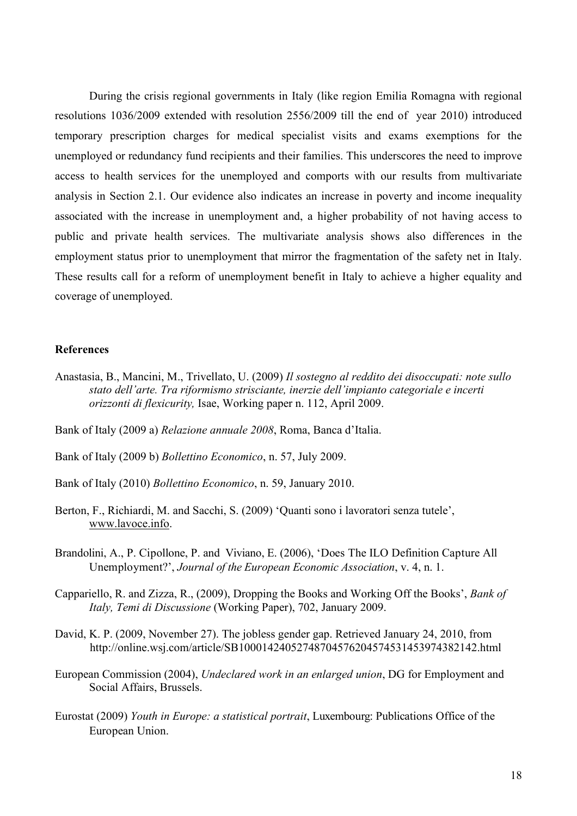During the crisis regional governments in Italy (like region Emilia Romagna with regional resolutions 1036/2009 extended with resolution 2556/2009 till the end of year 2010) introduced temporary prescription charges for medical specialist visits and exams exemptions for the unemployed or redundancy fund recipients and their families. This underscores the need to improve access to health services for the unemployed and comports with our results from multivariate analysis in Section 2.1. Our evidence also indicates an increase in poverty and income inequality associated with the increase in unemployment and, a higher probability of not having access to public and private health services. The multivariate analysis shows also differences in the employment status prior to unemployment that mirror the fragmentation of the safety net in Italy. These results call for a reform of unemployment benefit in Italy to achieve a higher equality and coverage of unemployed.

### **References**

- Anastasia, B., Mancini, M., Trivellato, U. (2009) *Il sostegno al reddito dei disoccupati: note sullo stato dell'arte. Tra riformismo strisciante, inerzie dell'impianto categoriale e incerti orizzonti di flexicurity,* Isae, Working paper n. 112, April 2009.
- Bank of Italy (2009 a) *Relazione annuale 2008*, Roma, Banca d'Italia.
- Bank of Italy (2009 b) *Bollettino Economico*, n. 57, July 2009.
- Bank of Italy (2010) *Bollettino Economico*, n. 59, January 2010.
- Berton, F., Richiardi, M. and Sacchi, S. (2009) 'Quanti sono i lavoratori senza tutele', www.lavoce.info.
- Brandolini, A., P. Cipollone, P. and Viviano, E. (2006), 'Does The ILO Definition Capture All Unemployment?', *Journal of the European Economic Association*, v. 4, n. 1.
- Cappariello, R. and Zizza, R., (2009), Dropping the Books and Working Off the Books', *Bank of Italy, Temi di Discussione* (Working Paper), 702, January 2009.
- David, K. P. (2009, November 27). The jobless gender gap. Retrieved January 24, 2010, from http://online.wsj.com/article/SB10001424052748704576204574531453974382142.html
- European Commission (2004), *Undeclared work in an enlarged union*, DG for Employment and Social Affairs, Brussels.
- Eurostat (2009) *Youth in Europe: a statistical portrait*, Luxembourg: Publications Office of the European Union.